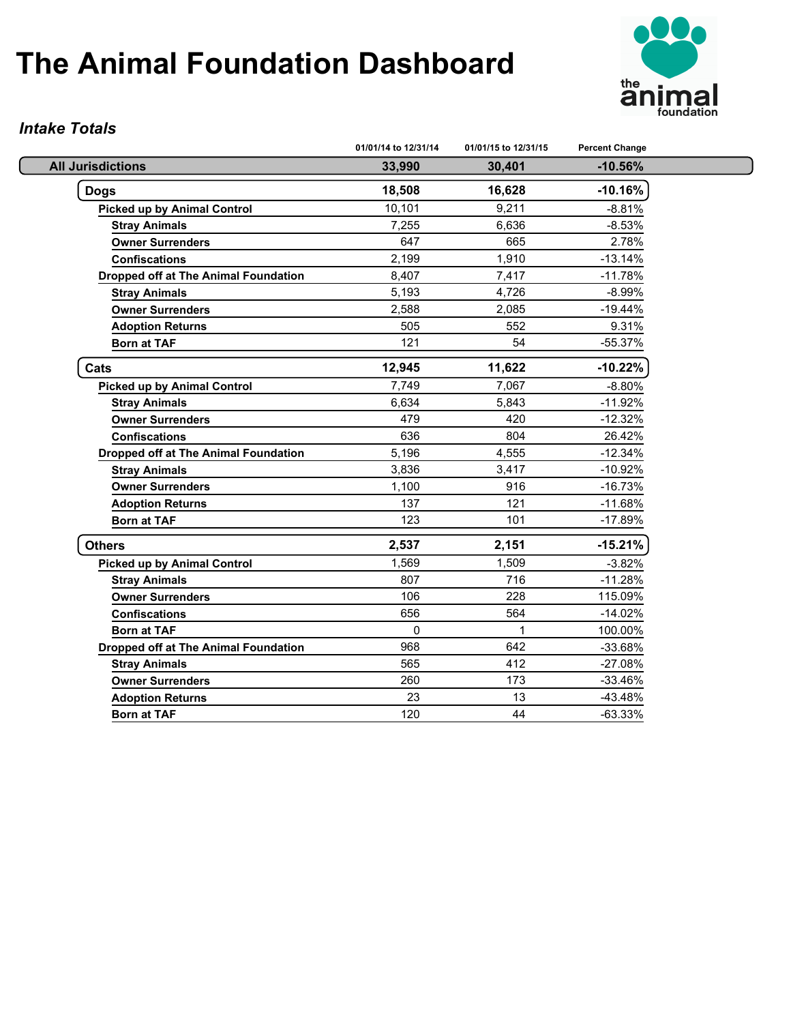

#### *Intake Totals*

|                                             | 01/01/14 to 12/31/14 | 01/01/15 to 12/31/15 | <b>Percent Change</b> |
|---------------------------------------------|----------------------|----------------------|-----------------------|
| <b>All Jurisdictions</b>                    | 33,990               | 30,401               | $-10.56%$             |
| <b>Dogs</b>                                 | 18,508               | 16,628               | $-10.16%$             |
| <b>Picked up by Animal Control</b>          | 10,101               | 9,211                | $-8.81%$              |
| <b>Stray Animals</b>                        | 7,255                | 6,636                | $-8.53%$              |
| <b>Owner Surrenders</b>                     | 647                  | 665                  | 2.78%                 |
| <b>Confiscations</b>                        | 2,199                | 1,910                | $-13.14%$             |
| <b>Dropped off at The Animal Foundation</b> | 8,407                | 7,417                | $-11.78%$             |
| <b>Stray Animals</b>                        | 5,193                | 4,726                | $-8.99%$              |
| <b>Owner Surrenders</b>                     | 2,588                | 2,085                | $-19.44%$             |
| <b>Adoption Returns</b>                     | 505                  | 552                  | 9.31%                 |
| <b>Born at TAF</b>                          | 121                  | 54                   | -55.37%               |
| Cats                                        | 12,945               | 11,622               | $-10.22%$             |
| <b>Picked up by Animal Control</b>          | 7,749                | 7,067                | $-8.80%$              |
| <b>Stray Animals</b>                        | 6,634                | 5,843                | $-11.92%$             |
| <b>Owner Surrenders</b>                     | 479                  | 420                  | $-12.32%$             |
| <b>Confiscations</b>                        | 636                  | 804                  | 26.42%                |
| <b>Dropped off at The Animal Foundation</b> | 5,196                | 4,555                | $-12.34%$             |
| <b>Stray Animals</b>                        | 3,836                | 3,417                | $-10.92%$             |
| <b>Owner Surrenders</b>                     | 1,100                | 916                  | $-16.73%$             |
| <b>Adoption Returns</b>                     | 137                  | 121                  | $-11.68%$             |
| <b>Born at TAF</b>                          | 123                  | 101                  | $-17.89%$             |
| <b>Others</b>                               | 2,537                | 2,151                | $-15.21%$             |
| <b>Picked up by Animal Control</b>          | 1,569                | 1,509                | $-3.82%$              |
| <b>Stray Animals</b>                        | 807                  | 716                  | $-11.28%$             |
| <b>Owner Surrenders</b>                     | 106                  | 228                  | 115.09%               |
| <b>Confiscations</b>                        | 656                  | 564                  | $-14.02%$             |
| <b>Born at TAF</b>                          | $\mathbf 0$          | 1                    | 100.00%               |
| <b>Dropped off at The Animal Foundation</b> | 968                  | 642                  | $-33.68%$             |
| <b>Stray Animals</b>                        | 565                  | 412                  | $-27.08%$             |
| <b>Owner Surrenders</b>                     | 260                  | 173                  | $-33.46%$             |
| <b>Adoption Returns</b>                     | 23                   | 13                   | $-43.48%$             |
| <b>Born at TAF</b>                          | 120                  | 44                   | $-63.33%$             |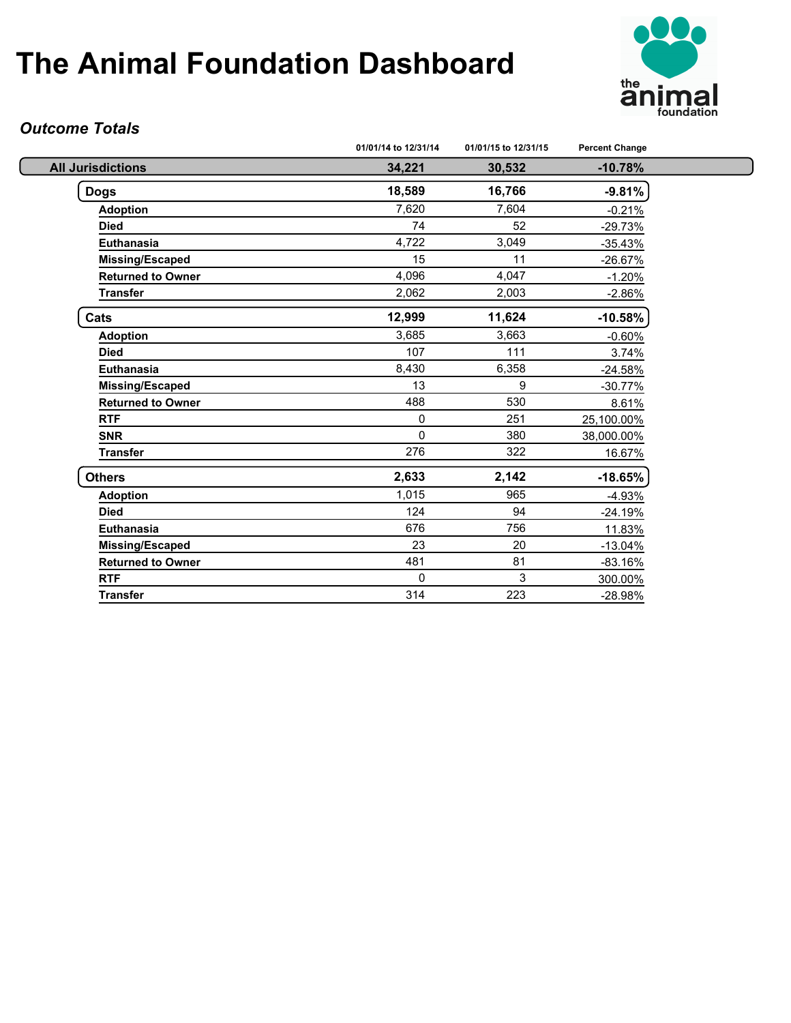

#### *Outcome Totals*

|                          | 01/01/14 to 12/31/14 | 01/01/15 to 12/31/15 | <b>Percent Change</b> |
|--------------------------|----------------------|----------------------|-----------------------|
| <b>All Jurisdictions</b> | 34,221               | 30,532               | $-10.78%$             |
| <b>Dogs</b>              | 18,589               | 16,766               | $-9.81%$              |
| <b>Adoption</b>          | 7,620                | 7,604                | $-0.21%$              |
| <b>Died</b>              | 74                   | 52                   | $-29.73%$             |
| Euthanasia               | 4,722                | 3,049                | $-35.43%$             |
| Missing/Escaped          | 15                   | 11                   | $-26.67%$             |
| <b>Returned to Owner</b> | 4,096                | 4,047                | $-1.20%$              |
| <b>Transfer</b>          | 2,062                | 2,003                | $-2.86%$              |
| Cats                     | 12,999               | 11,624               | $-10.58%$             |
| <b>Adoption</b>          | 3,685                | 3,663                | $-0.60%$              |
| <b>Died</b>              | 107                  | 111                  | 3.74%                 |
| Euthanasia               | 8,430                | 6,358                | $-24.58%$             |
| <b>Missing/Escaped</b>   | 13                   | 9                    | $-30.77%$             |
| <b>Returned to Owner</b> | 488                  | 530                  | 8.61%                 |
| <b>RTF</b>               | $\mathbf 0$          | 251                  | 25,100.00%            |
| <b>SNR</b>               | $\Omega$             | 380                  | 38,000.00%            |
| <b>Transfer</b>          | 276                  | 322                  | 16.67%                |
| <b>Others</b>            | 2,633                | 2,142                | $-18.65%$             |
| <b>Adoption</b>          | 1,015                | 965                  | $-4.93%$              |
| <b>Died</b>              | 124                  | 94                   | $-24.19%$             |
| <b>Euthanasia</b>        | 676                  | 756                  | 11.83%                |
| <b>Missing/Escaped</b>   | 23                   | 20                   | $-13.04%$             |
| <b>Returned to Owner</b> | 481                  | 81                   | $-83.16%$             |
| <b>RTF</b>               | $\mathbf{0}$         | 3                    | 300.00%               |
| <b>Transfer</b>          | 314                  | 223                  | $-28.98%$             |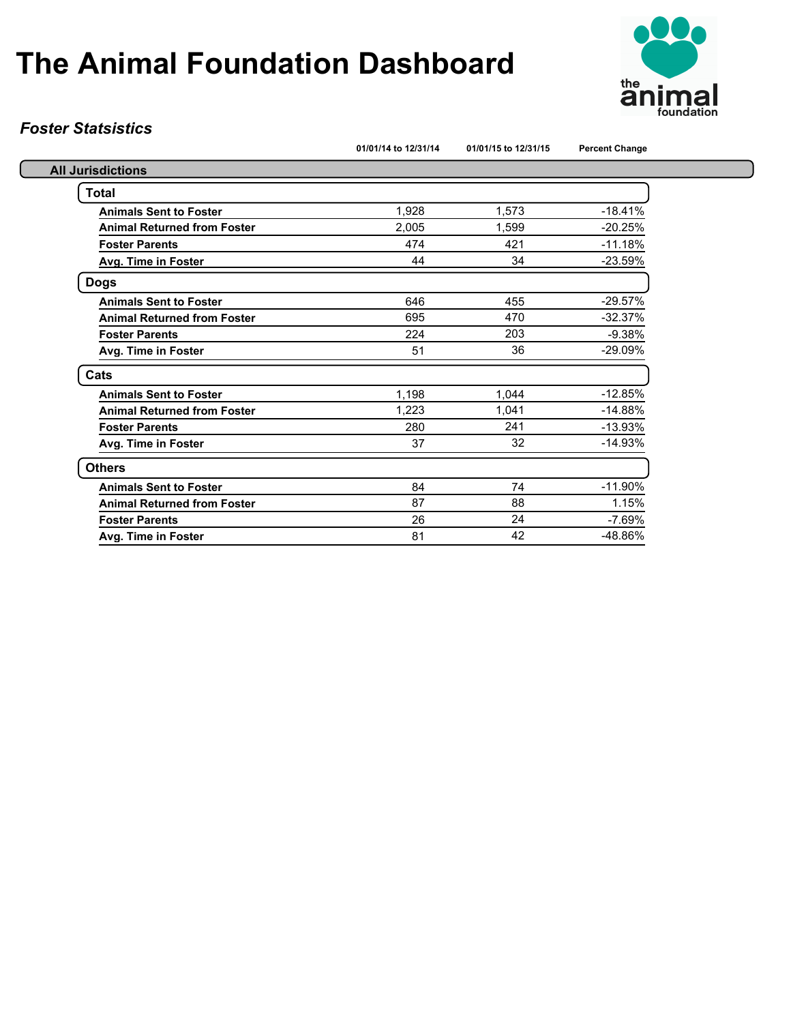

#### *Foster Statsistics*

|  |  | 01/01/14 to 12/31/14 |  |
|--|--|----------------------|--|

**01/01/14 to 12/31/14 01/01/15 to 12/31/15 Percent Change**

| <b>All Jurisdictions</b>           |       |       |           |
|------------------------------------|-------|-------|-----------|
| <b>Total</b>                       |       |       |           |
| <b>Animals Sent to Foster</b>      | 1,928 | 1,573 | $-18.41%$ |
| <b>Animal Returned from Foster</b> | 2,005 | 1.599 | $-20.25%$ |
| <b>Foster Parents</b>              | 474   | 421   | $-11.18%$ |
| <b>Avg. Time in Foster</b>         | 44    | 34    | $-23.59%$ |
| <b>Dogs</b>                        |       |       |           |
| <b>Animals Sent to Foster</b>      | 646   | 455   | $-29.57%$ |
| <b>Animal Returned from Foster</b> | 695   | 470   | $-32.37%$ |
| <b>Foster Parents</b>              | 224   | 203   | $-9.38%$  |
| Avg. Time in Foster                | 51    | 36    | $-29.09%$ |
| Cats                               |       |       |           |
| <b>Animals Sent to Foster</b>      | 1,198 | 1,044 | $-12.85%$ |
| <b>Animal Returned from Foster</b> | 1,223 | 1,041 | $-14.88%$ |
| <b>Foster Parents</b>              | 280   | 241   | $-13.93%$ |
| Avg. Time in Foster                | 37    | 32    | $-14.93%$ |
| <b>Others</b>                      |       |       |           |
| <b>Animals Sent to Foster</b>      | 84    | 74    | $-11.90%$ |
| <b>Animal Returned from Foster</b> | 87    | 88    | 1.15%     |
| <b>Foster Parents</b>              | 26    | 24    | $-7.69%$  |
| Avg. Time in Foster                | 81    | 42    | $-48.86%$ |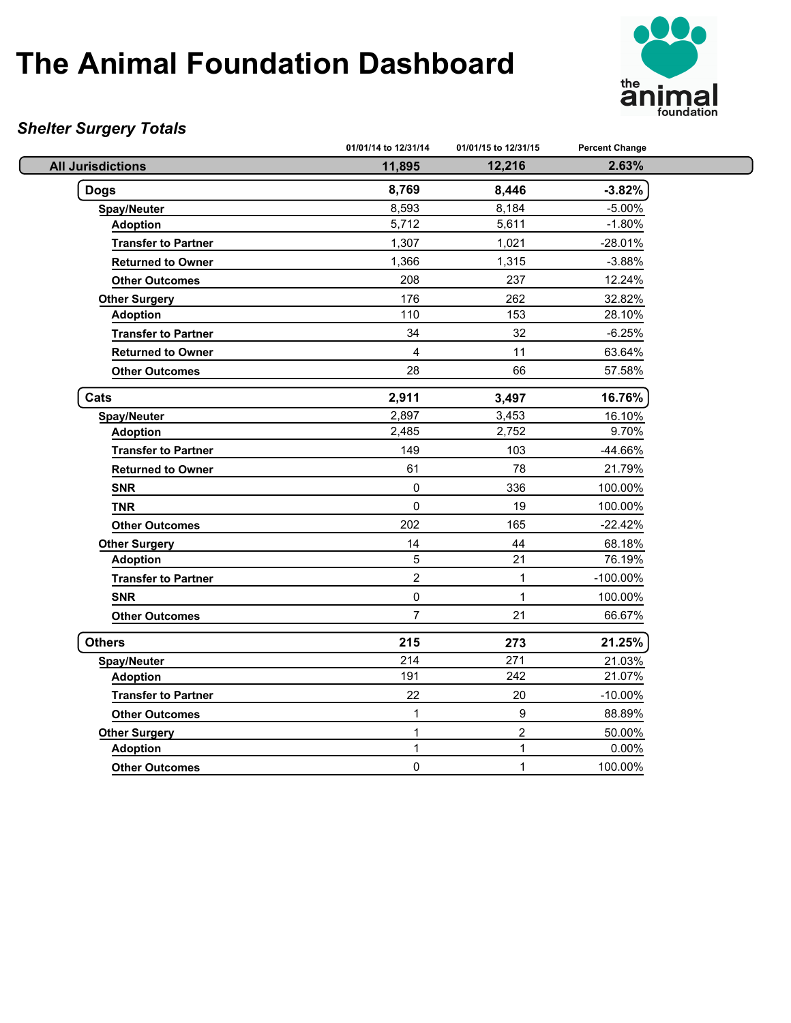

### *Shelter Surgery Totals*

|                            | 01/01/14 to 12/31/14 | 01/01/15 to 12/31/15 | <b>Percent Change</b> |  |
|----------------------------|----------------------|----------------------|-----------------------|--|
| <b>All Jurisdictions</b>   | 11,895               | 12,216               | 2.63%                 |  |
| <b>Dogs</b>                | 8,769                | 8,446                | $-3.82%$              |  |
| <b>Spay/Neuter</b>         | 8,593                | 8,184                | $-5.00%$              |  |
| <b>Adoption</b>            | 5,712                | 5,611                | $-1.80%$              |  |
| <b>Transfer to Partner</b> | 1,307                | 1,021                | -28.01%               |  |
| <b>Returned to Owner</b>   | 1,366                | 1,315                | $-3.88%$              |  |
| <b>Other Outcomes</b>      | 208                  | 237                  | 12.24%                |  |
| <b>Other Surgery</b>       | 176                  | 262                  | 32.82%                |  |
| <b>Adoption</b>            | 110                  | 153                  | 28.10%                |  |
| <b>Transfer to Partner</b> | 34                   | 32                   | $-6.25%$              |  |
| <b>Returned to Owner</b>   | 4                    | 11                   | 63.64%                |  |
| <b>Other Outcomes</b>      | 28                   | 66                   | 57.58%                |  |
| Cats                       | 2,911                | 3,497                | 16.76%                |  |
| <b>Spay/Neuter</b>         | 2,897                | 3,453                | 16.10%                |  |
| <b>Adoption</b>            | 2,485                | 2,752                | 9.70%                 |  |
| <b>Transfer to Partner</b> | 149                  | 103                  | -44.66%               |  |
| <b>Returned to Owner</b>   | 61                   | 78                   | 21.79%                |  |
| <b>SNR</b>                 | $\pmb{0}$            | 336                  | 100.00%               |  |
| <b>TNR</b>                 | $\mathbf 0$          | 19                   | 100.00%               |  |
| <b>Other Outcomes</b>      | 202                  | 165                  | $-22.42%$             |  |
| <b>Other Surgery</b>       | 14                   | 44                   | 68.18%                |  |
| <b>Adoption</b>            | 5                    | 21                   | 76.19%                |  |
| <b>Transfer to Partner</b> | $\overline{2}$       | $\mathbf{1}$         | $-100.00\%$           |  |
| <b>SNR</b>                 | $\mathbf 0$          | $\mathbf{1}$         | 100.00%               |  |
| <b>Other Outcomes</b>      | $\overline{7}$       | 21                   | 66.67%                |  |
| <b>Others</b>              | 215                  | 273                  | 21.25%                |  |
| <b>Spay/Neuter</b>         | 214                  | 271                  | 21.03%                |  |
| <b>Adoption</b>            | 191                  | 242                  | 21.07%                |  |
| <b>Transfer to Partner</b> | 22                   | 20                   | $-10.00%$             |  |
| <b>Other Outcomes</b>      | 1                    | $\boldsymbol{9}$     | 88.89%                |  |
| <b>Other Surgery</b>       | 1                    | $\overline{2}$       | 50.00%                |  |
| <b>Adoption</b>            | $\mathbf{1}$         | 1                    | 0.00%                 |  |
| <b>Other Outcomes</b>      | 0                    | 1                    | 100.00%               |  |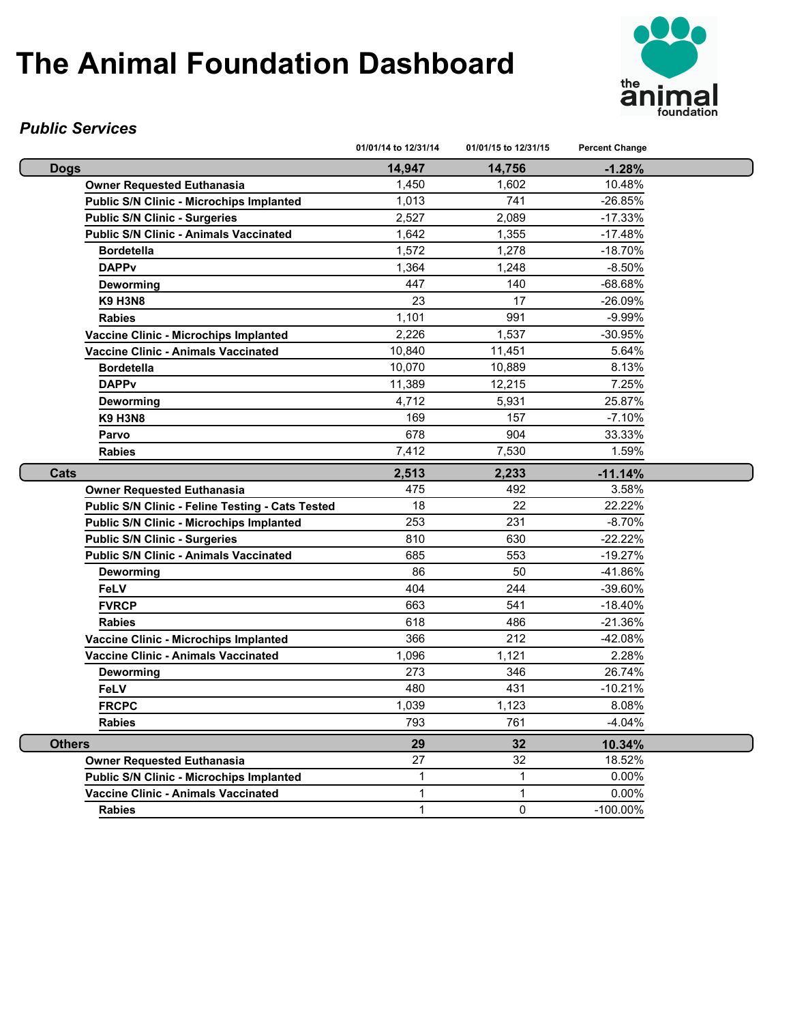

#### *Public Services*

|                                                  | 01/01/14 to 12/31/14 | 01/01/15 to 12/31/15 | <b>Percent Change</b> |  |
|--------------------------------------------------|----------------------|----------------------|-----------------------|--|
| <b>Dogs</b>                                      | 14,947               | 14,756               | $-1.28%$              |  |
| <b>Owner Requested Euthanasia</b>                | 1,450                | 1,602                | 10.48%                |  |
| <b>Public S/N Clinic - Microchips Implanted</b>  | 1,013                | 741                  | $-26.85%$             |  |
| <b>Public S/N Clinic - Surgeries</b>             | 2,527                | 2,089                | $-17.33%$             |  |
| <b>Public S/N Clinic - Animals Vaccinated</b>    | 1,642                | 1,355                | $-17.48%$             |  |
| <b>Bordetella</b>                                | 1,572                | 1,278                | $-18.70%$             |  |
| <b>DAPPv</b>                                     | 1,364                | 1,248                | $-8.50%$              |  |
| Deworming                                        | 447                  | 140                  | $-68.68%$             |  |
| <b>K9 H3N8</b>                                   | 23                   | 17                   | $-26.09%$             |  |
| <b>Rabies</b>                                    | 1,101                | 991                  | $-9.99%$              |  |
| Vaccine Clinic - Microchips Implanted            | 2,226                | 1,537                | -30.95%               |  |
| Vaccine Clinic - Animals Vaccinated              | 10,840               | 11,451               | 5.64%                 |  |
| <b>Bordetella</b>                                | 10,070               | 10,889               | 8.13%                 |  |
| <b>DAPPv</b>                                     | 11,389               | 12,215               | 7.25%                 |  |
| Deworming                                        | 4,712                | 5,931                | 25.87%                |  |
| <b>K9 H3N8</b>                                   | 169                  | 157                  | $-7.10%$              |  |
| Parvo                                            | 678                  | 904                  | 33.33%                |  |
| <b>Rabies</b>                                    | 7,412                | 7,530                | 1.59%                 |  |
| Cats                                             | 2,513                | 2,233                | $-11.14%$             |  |
| <b>Owner Requested Euthanasia</b>                | 475                  | 492                  | 3.58%                 |  |
| Public S/N Clinic - Feline Testing - Cats Tested | 18                   | 22                   | 22.22%                |  |
| <b>Public S/N Clinic - Microchips Implanted</b>  | 253                  | 231                  | $-8.70%$              |  |
| <b>Public S/N Clinic - Surgeries</b>             | 810                  | 630                  | $-22.22%$             |  |
| <b>Public S/N Clinic - Animals Vaccinated</b>    | 685                  | 553                  | $-19.27%$             |  |
| Deworming                                        | 86                   | 50                   | -41.86%               |  |
| <b>FeLV</b>                                      | 404                  | 244                  | $-39.60\%$            |  |
| <b>FVRCP</b>                                     | 663                  | 541                  | $-18.40%$             |  |
| <b>Rabies</b>                                    | 618                  | 486                  | $-21.36%$             |  |
| Vaccine Clinic - Microchips Implanted            | 366                  | 212                  | $-42.08%$             |  |
| Vaccine Clinic - Animals Vaccinated              | 1.096                | 1.121                | 2.28%                 |  |
| <b>Deworming</b>                                 | 273                  | 346                  | 26.74%                |  |
| <b>FeLV</b>                                      | 480                  | 431                  | $-10.21%$             |  |
| <b>FRCPC</b>                                     | 1,039                | 1,123                | 8.08%                 |  |
| <b>Rabies</b>                                    | 793                  | 761                  | $-4.04%$              |  |
| <b>Others</b>                                    | 29                   | 32                   | 10.34%                |  |
| Owner Requested Euthanasia                       | 27                   | 32                   | 18.52%                |  |
| <b>Public S/N Clinic - Microchips Implanted</b>  | 1                    | $\mathbf{1}$         | $0.00\%$              |  |
| <b>Vaccine Clinic - Animals Vaccinated</b>       | 1                    | $\mathbf{1}$         | 0.00%                 |  |
| <b>Rabies</b>                                    | 1                    | $\Omega$             | $-100.00\%$           |  |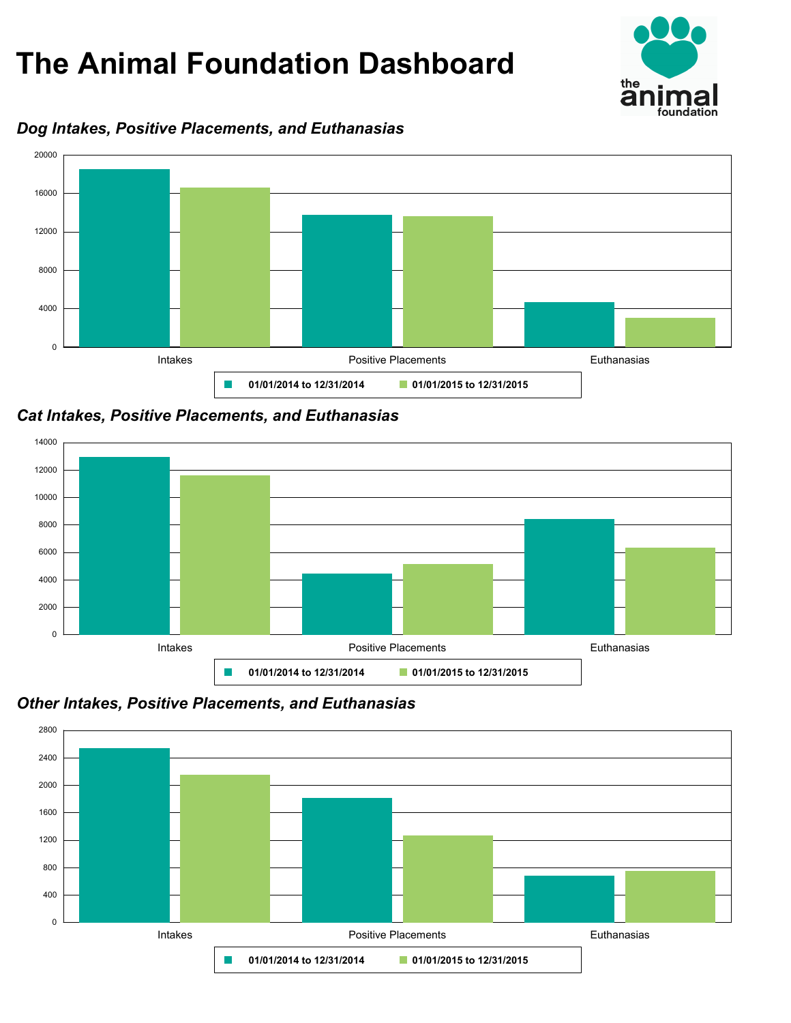

### *Dog Intakes, Positive Placements, and Euthanasias*



*Cat Intakes, Positive Placements, and Euthanasias*



*Other Intakes, Positive Placements, and Euthanasias*